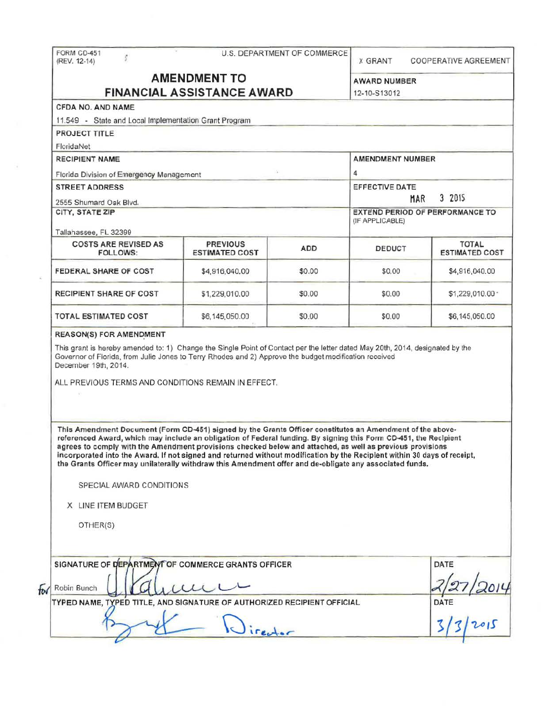|                                                                                                                                                                                                                                                                                                                                                                                                                                                                                                                                                                                                                                                                         |                                          |                                                           | <b>X GRANT</b>                      | COOPERATIVE AGREEMENT                 |  |
|-------------------------------------------------------------------------------------------------------------------------------------------------------------------------------------------------------------------------------------------------------------------------------------------------------------------------------------------------------------------------------------------------------------------------------------------------------------------------------------------------------------------------------------------------------------------------------------------------------------------------------------------------------------------------|------------------------------------------|-----------------------------------------------------------|-------------------------------------|---------------------------------------|--|
| <b>AMENDMENT TO</b><br><b>FINANCIAL ASSISTANCE AWARD</b>                                                                                                                                                                                                                                                                                                                                                                                                                                                                                                                                                                                                                |                                          |                                                           |                                     |                                       |  |
|                                                                                                                                                                                                                                                                                                                                                                                                                                                                                                                                                                                                                                                                         |                                          |                                                           | <b>AWARD NUMBER</b><br>12-10-S13012 |                                       |  |
| CFDA NO. AND NAME                                                                                                                                                                                                                                                                                                                                                                                                                                                                                                                                                                                                                                                       |                                          |                                                           |                                     |                                       |  |
| 11.549 - State and Local Implementation Grant Program                                                                                                                                                                                                                                                                                                                                                                                                                                                                                                                                                                                                                   |                                          |                                                           |                                     |                                       |  |
| PROJECT TITLE                                                                                                                                                                                                                                                                                                                                                                                                                                                                                                                                                                                                                                                           |                                          |                                                           |                                     |                                       |  |
| FloridaNet                                                                                                                                                                                                                                                                                                                                                                                                                                                                                                                                                                                                                                                              |                                          |                                                           |                                     |                                       |  |
| <b>RECIPIENT NAME</b>                                                                                                                                                                                                                                                                                                                                                                                                                                                                                                                                                                                                                                                   |                                          |                                                           | <b>AMENDMENT NUMBER</b>             |                                       |  |
|                                                                                                                                                                                                                                                                                                                                                                                                                                                                                                                                                                                                                                                                         |                                          |                                                           | 4                                   |                                       |  |
| Florida Division of Emergency Management<br><b>STREET ADDRESS</b>                                                                                                                                                                                                                                                                                                                                                                                                                                                                                                                                                                                                       |                                          |                                                           | EFFECTIVE DATE<br>3 2015            |                                       |  |
|                                                                                                                                                                                                                                                                                                                                                                                                                                                                                                                                                                                                                                                                         |                                          |                                                           |                                     |                                       |  |
|                                                                                                                                                                                                                                                                                                                                                                                                                                                                                                                                                                                                                                                                         |                                          | <b>EXTEND PERIOD OF PERFORMANCE TO</b><br>(IF APPLICABLE) |                                     |                                       |  |
| Tallahassee, FL 32399                                                                                                                                                                                                                                                                                                                                                                                                                                                                                                                                                                                                                                                   |                                          |                                                           |                                     |                                       |  |
| <b>COSTS ARE REVISED AS</b><br><b>FOLLOWS:</b>                                                                                                                                                                                                                                                                                                                                                                                                                                                                                                                                                                                                                          | <b>PREVIOUS</b><br><b>ESTIMATED COST</b> | <b>ADD</b>                                                | DEDUCT                              | <b>TOTAL</b><br><b>ESTIMATED COST</b> |  |
| FEDERAL SHARE OF COST                                                                                                                                                                                                                                                                                                                                                                                                                                                                                                                                                                                                                                                   | \$4,916,040.00                           | \$0.00                                                    | \$0.00                              | \$4,916,040.00                        |  |
| <b>RECIPIENT SHARE OF COST</b>                                                                                                                                                                                                                                                                                                                                                                                                                                                                                                                                                                                                                                          | \$1,229,010,00                           | \$0.00                                                    | \$0.00                              | \$1,229,010.00 *                      |  |
| <b>TOTAL ESTIMATED COST</b>                                                                                                                                                                                                                                                                                                                                                                                                                                                                                                                                                                                                                                             | \$6,145,050.00                           | \$0.00                                                    | \$0.00                              | \$6,145,050.00                        |  |
|                                                                                                                                                                                                                                                                                                                                                                                                                                                                                                                                                                                                                                                                         |                                          |                                                           |                                     |                                       |  |
| <b>REASON(S) FOR AMENDMENT</b><br>This grant is hereby amended to: 1) Change the Single Point of Contact per the letter dated May 20th, 2014, designated by the<br>Governor of Florida, from Julie Jones to Terry Rhodes and 2) Approve the budget modification received<br>ALL PREVIOUS TERMS AND CONDITIONS REMAIN IN EFFECT.                                                                                                                                                                                                                                                                                                                                         |                                          |                                                           |                                     |                                       |  |
| December 19th, 2014.<br>This Amendment Document (Form CD-451) signed by the Grants Officer constitutes an Amendment of the above-<br>referenced Award, which may include an obligation of Federal funding. By signing this Form CD-451, the Recipient<br>agrees to comply with the Amendment provisions checked below and attached, as well as previous provisions<br>incorporated into the Award. If not signed and returned without modification by the Recipient within 30 days of receipt,<br>the Grants Officer may unilaterally withdraw this Amendment offer and de-obligate any associated funds.<br>SPECIAL AWARD CONDITIONS<br>X LINE ITEM BUDGET<br>OTHER(S) |                                          |                                                           |                                     |                                       |  |
| SIGNATURE OF DEPARTMENT OF COMMERCE GRANTS OFFICER<br>Robin Bunch                                                                                                                                                                                                                                                                                                                                                                                                                                                                                                                                                                                                       |                                          |                                                           |                                     | DATE                                  |  |